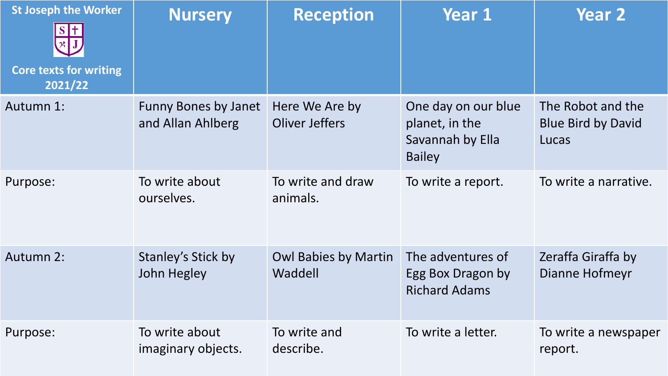| <b>St Joseph the Worker</b><br><b>Core texts for writing</b><br>2021/22 | <b>Nursery</b>                                   | <b>Reception</b>                        | <b>Year 1</b>                                                              | <b>Year 2</b>                                           |
|-------------------------------------------------------------------------|--------------------------------------------------|-----------------------------------------|----------------------------------------------------------------------------|---------------------------------------------------------|
| Autumn 1:                                                               | <b>Funny Bones by Janet</b><br>and Allan Ahlberg | Here We Are by<br><b>Oliver Jeffers</b> | One day on our blue<br>planet, in the<br>Savannah by Ella<br><b>Bailey</b> | The Robot and the<br><b>Blue Bird by David</b><br>Lucas |
| Purpose:                                                                | To write about<br>ourselves.                     | To write and draw<br>animals.           | To write a report.                                                         | To write a narrative.                                   |
| <b>Autumn 2:</b>                                                        | Stanley's Stick by<br>John Hegley                | <b>Owl Babies by Martin</b><br>Waddell  | The adventures of<br>Egg Box Dragon by<br><b>Richard Adams</b>             | Zeraffa Giraffa by<br>Dianne Hofmeyr                    |
| Purpose:                                                                | To write about<br>imaginary objects.             | To write and<br>describe.               | To write a letter.                                                         | To write a newspaper<br>report.                         |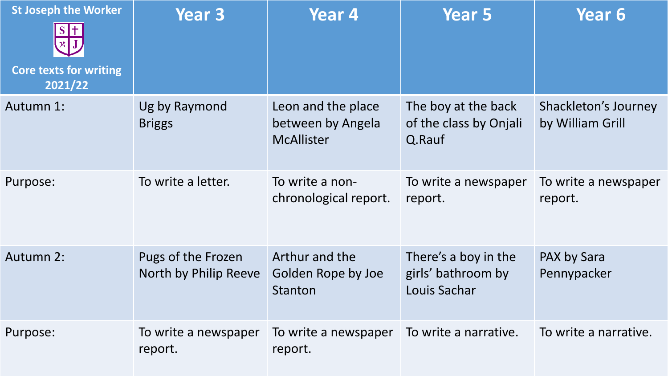| <b>St Joseph the Worker</b><br><b>Core texts for writing</b><br>2021/22 | <b>Year 3</b>                               | Year 4                                                       | <b>Year 5</b>                                              | Year <sub>6</sub>                        |
|-------------------------------------------------------------------------|---------------------------------------------|--------------------------------------------------------------|------------------------------------------------------------|------------------------------------------|
| Autumn 1:                                                               | Ug by Raymond<br><b>Briggs</b>              | Leon and the place<br>between by Angela<br><b>McAllister</b> | The boy at the back<br>of the class by Onjali<br>Q.Rauf    | Shackleton's Journey<br>by William Grill |
| Purpose:                                                                | To write a letter.                          | To write a non-<br>chronological report.                     | To write a newspaper<br>report.                            | To write a newspaper<br>report.          |
| <b>Autumn 2:</b>                                                        | Pugs of the Frozen<br>North by Philip Reeve | Arthur and the<br>Golden Rope by Joe<br>Stanton              | There's a boy in the<br>girls' bathroom by<br>Louis Sachar | PAX by Sara<br>Pennypacker               |
| Purpose:                                                                | To write a newspaper<br>report.             | To write a newspaper<br>report.                              | To write a narrative.                                      | To write a narrative.                    |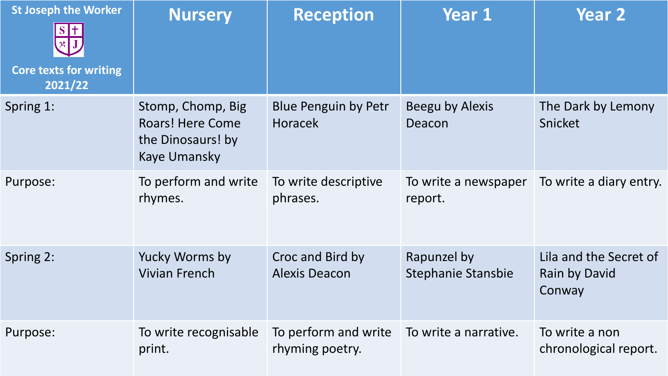| <b>St Joseph the Worker</b><br><b>Core texts for writing</b><br>2021/22 | <b>Nursery</b>                                                                           | <b>Reception</b>                              | <b>Year 1</b>                            | <b>Year 2</b>                                            |
|-------------------------------------------------------------------------|------------------------------------------------------------------------------------------|-----------------------------------------------|------------------------------------------|----------------------------------------------------------|
| Spring 1:                                                               | Stomp, Chomp, Big<br><b>Roars! Here Come</b><br>the Dinosaurs! by<br><b>Kaye Umansky</b> | <b>Blue Penguin by Petr</b><br><b>Horacek</b> | Beegu by Alexis<br>Deacon                | The Dark by Lemony<br>Snicket                            |
| Purpose:                                                                | To perform and write<br>rhymes.                                                          | To write descriptive<br>phrases.              | To write a newspaper<br>report.          | To write a diary entry.                                  |
| Spring 2:                                                               | <b>Yucky Worms by</b><br><b>Vivian French</b>                                            | Croc and Bird by<br><b>Alexis Deacon</b>      | Rapunzel by<br><b>Stephanie Stansbie</b> | Lila and the Secret of<br><b>Rain by David</b><br>Conway |
| Purpose:                                                                | To write recognisable<br>print.                                                          | To perform and write<br>rhyming poetry.       | To write a narrative.                    | To write a non<br>chronological report.                  |